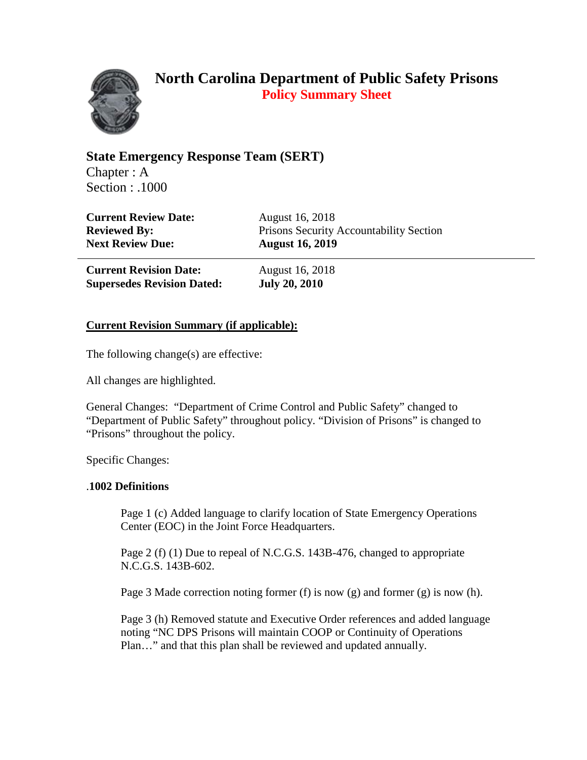

**State Emergency Response Team (SERT)** Chapter : A Section : .1000

| <b>Current Review Date:</b> | <b>August 16, 2018</b>                  |
|-----------------------------|-----------------------------------------|
| <b>Reviewed By:</b>         | Prisons Security Accountability Section |
| <b>Next Review Due:</b>     | <b>August 16, 2019</b>                  |

| <b>Current Revision Date:</b>     | <b>August 16, 2018</b> |
|-----------------------------------|------------------------|
| <b>Supersedes Revision Dated:</b> | <b>July 20, 2010</b>   |

## **Current Revision Summary (if applicable):**

The following change(s) are effective:

All changes are highlighted.

General Changes: "Department of Crime Control and Public Safety" changed to "Department of Public Safety" throughout policy. "Division of Prisons" is changed to "Prisons" throughout the policy.

Specific Changes:

## .**1002 Definitions**

Page 1 (c) Added language to clarify location of State Emergency Operations Center (EOC) in the Joint Force Headquarters.

Page 2 (f) (1) Due to repeal of N.C.G.S. 143B-476, changed to appropriate N.C.G.S. 143B-602.

Page 3 Made correction noting former (f) is now (g) and former (g) is now (h).

Page 3 (h) Removed statute and Executive Order references and added language noting "NC DPS Prisons will maintain COOP or Continuity of Operations Plan…" and that this plan shall be reviewed and updated annually.